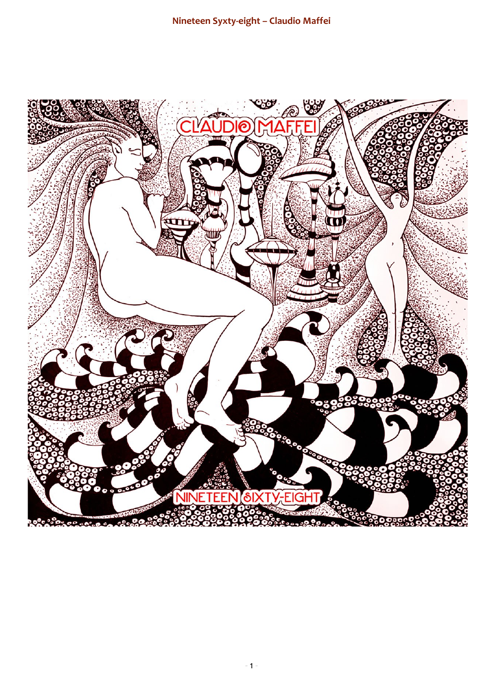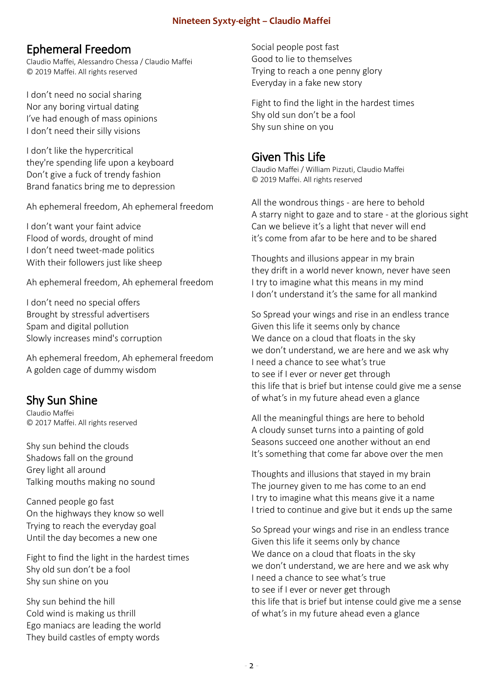## Ephemeral Freedom

Claudio Maffei, Alessandro Chessa / Claudio Maffei © 2019 Maffei. All rights reserved

I don't need no social sharing Nor any boring virtual dating I've had enough of mass opinions I don't need their silly visions

I don't like the hypercritical they're spending life upon a keyboard Don't give a fuck of trendy fashion Brand fanatics bring me to depression

Ah ephemeral freedom, Ah ephemeral freedom

I don't want your faint advice Flood of words, drought of mind I don't need tweet-made politics With their followers just like sheep

Ah ephemeral freedom, Ah ephemeral freedom

I don't need no special offers Brought by stressful advertisers Spam and digital pollution Slowly increases mind's corruption

Ah ephemeral freedom, Ah ephemeral freedom A golden cage of dummy wisdom

## Shy Sun Shine

Claudio Maffei © 2017 Maffei. All rights reserved

Shy sun behind the clouds Shadows fall on the ground Grey light all around Talking mouths making no sound

Canned people go fast On the highways they know so well Trying to reach the everyday goal Until the day becomes a new one

Fight to find the light in the hardest times Shy old sun don't be a fool Shy sun shine on you

Shy sun behind the hill Cold wind is making us thrill Ego maniacs are leading the world They build castles of empty words

Social people post fast Good to lie to themselves Trying to reach a one penny glory Everyday in a fake new story

Fight to find the light in the hardest times Shy old sun don't be a fool Shy sun shine on you

## Given This Life

Claudio Maffei / William Pizzuti, Claudio Maffei © 2019 Maffei. All rights reserved

All the wondrous things - are here to behold A starry night to gaze and to stare - at the glorious sight Can we believe it's a light that never will end it's come from afar to be here and to be shared

Thoughts and illusions appear in my brain they drift in a world never known, never have seen I try to imagine what this means in my mind I don't understand it's the same for all mankind

So Spread your wings and rise in an endless trance Given this life it seems only by chance We dance on a cloud that floats in the sky we don't understand, we are here and we ask why I need a chance to see what's true to see if I ever or never get through this life that is brief but intense could give me a sense of what's in my future ahead even a glance

All the meaningful things are here to behold A cloudy sunset turns into a painting of gold Seasons succeed one another without an end It's something that come far above over the men

Thoughts and illusions that stayed in my brain The journey given to me has come to an end I try to imagine what this means give it a name I tried to continue and give but it ends up the same

So Spread your wings and rise in an endless trance Given this life it seems only by chance We dance on a cloud that floats in the sky we don't understand, we are here and we ask why I need a chance to see what's true to see if I ever or never get through this life that is brief but intense could give me a sense of what's in my future ahead even a glance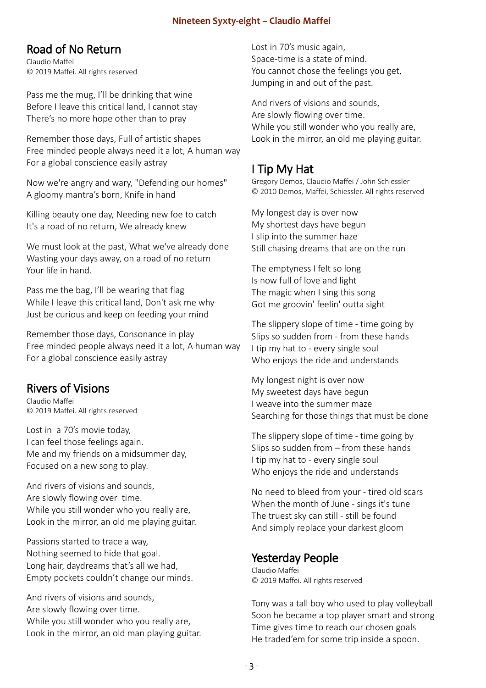#### Road of No Return

Claudio Maffei © 2019 Maffei. All rights reserved

Pass me the mug, I'll be drinking that wine Before I leave this critical land, I cannot stay There's no more hope other than to pray

Remember those days, Full of artistic shapes Free minded people always need it a lot, A human way For a global conscience easily astray

Now we're angry and wary, "Defending our homes" A gloomy mantra's born, Knife in hand

Killing beauty one day, Needing new foe to catch It's a road of no return, We already knew

We must look at the past, What we've already done Wasting your days away, on a road of no return Your life in hand.

Pass me the bag, I'll be wearing that flag While I leave this critical land, Don't ask me why Just be curious and keep on feeding your mind

Remember those days, Consonance in play Free minded people always need it a lot, A human way For a global conscience easily astray

## Rivers of Visions

Claudio Maffei © 2019 Maffei. All rights reserved

Lost in a 70's movie today, I can feel those feelings again. Me and my friends on a midsummer day, Focused on a new song to play.

And rivers of visions and sounds, Are slowly flowing over time. While you still wonder who you really are, Look in the mirror, an old me playing guitar.

Passions started to trace a way, Nothing seemed to hide that goal. Long hair, daydreams that's all we had, Empty pockets couldn't change our minds.

And rivers of visions and sounds, Are slowly flowing over time. While you still wonder who you really are, Look in the mirror, an old man playing guitar. Lost in 70's music again, Space-time is a state of mind. You cannot chose the feelings you get, Jumping in and out of the past.

And rivers of visions and sounds, Are slowly flowing over time. While you still wonder who you really are, Look in the mirror, an old me playing guitar.

# I Tip My Hat

Gregory Demos, Claudio Maffei / John Schiessler © 2010 Demos, Maffei, Schiessler. All rights reserved

My longest day is over now My shortest days have begun I slip into the summer haze Still chasing dreams that are on the run

The emptyness I felt so long Is now full of love and light The magic when I sing this song Got me groovin' feelin' outta sight

The slippery slope of time - time going by Slips so sudden from - from these hands I tip my hat to - every single soul Who enjoys the ride and understands

My longest night is over now My sweetest days have begun I weave into the summer maze Searching for those things that must be done

The slippery slope of time - time going by Slips so sudden from – from these hands I tip my hat to - every single soul Who enjoys the ride and understands

No need to bleed from your - tired old scars When the month of June - sings it's tune The truest sky can still - still be found And simply replace your darkest gloom

## Yesterday People

Claudio Maffei © 2019 Maffei. All rights reserved

Tony was a tall boy who used to play volleyball Soon he became a top player smart and strong Time gives time to reach our chosen goals He traded'em for some trip inside a spoon.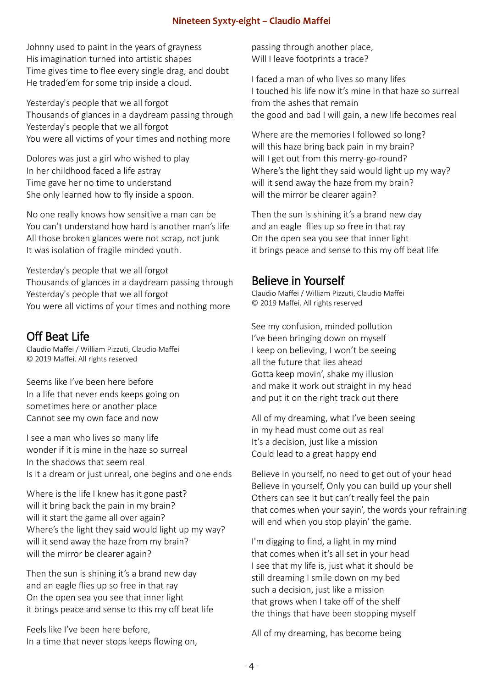Johnny used to paint in the years of grayness His imagination turned into artistic shapes Time gives time to flee every single drag, and doubt He traded'em for some trip inside a cloud.

Yesterday's people that we all forgot Thousands of glances in a daydream passing through Yesterday's people that we all forgot You were all victims of your times and nothing more

Dolores was just a girl who wished to play In her childhood faced a life astray Time gave her no time to understand She only learned how to fly inside a spoon.

No one really knows how sensitive a man can be You can't understand how hard is another man's life All those broken glances were not scrap, not junk It was isolation of fragile minded youth.

Yesterday's people that we all forgot Thousands of glances in a daydream passing through Yesterday's people that we all forgot You were all victims of your times and nothing more

# Off Beat Life

Claudio Maffei / William Pizzuti, Claudio Maffei © 2019 Maffei. All rights reserved

Seems like I've been here before In a life that never ends keeps going on sometimes here or another place Cannot see my own face and now

I see a man who lives so many life wonder if it is mine in the haze so surreal In the shadows that seem real Is it a dream or just unreal, one begins and one ends

Where is the life I knew has it gone past? will it bring back the pain in my brain? will it start the game all over again? Where's the light they said would light up my way? will it send away the haze from my brain? will the mirror be clearer again?

Then the sun is shining it's a brand new day and an eagle flies up so free in that ray On the open sea you see that inner light it brings peace and sense to this my off beat life

Feels like I've been here before, In a time that never stops keeps flowing on,

passing through another place, Will I leave footprints a trace?

I faced a man of who lives so many lifes I touched his life now it's mine in that haze so surreal from the ashes that remain the good and bad I will gain, a new life becomes real

Where are the memories I followed so long? will this haze bring back pain in my brain? will I get out from this merry-go-round? Where's the light they said would light up my way? will it send away the haze from my brain? will the mirror be clearer again?

Then the sun is shining it's a brand new day and an eagle flies up so free in that ray On the open sea you see that inner light it brings peace and sense to this my off beat life

# Believe in Yourself

Claudio Maffei / William Pizzuti, Claudio Maffei © 2019 Maffei. All rights reserved

See my confusion, minded pollution I've been bringing down on myself I keep on believing, I won't be seeing all the future that lies ahead Gotta keep movin', shake my illusion and make it work out straight in my head and put it on the right track out there

All of my dreaming, what I've been seeing in my head must come out as real It's a decision, just like a mission Could lead to a great happy end

Believe in yourself, no need to get out of your head Believe in yourself, Only you can build up your shell Others can see it but can't really feel the pain that comes when your sayin', the words your refraining will end when you stop playin' the game.

I'm digging to find, a light in my mind that comes when it's all set in your head I see that my life is, just what it should be still dreaming I smile down on my bed such a decision, just like a mission that grows when I take off of the shelf the things that have been stopping myself

All of my dreaming, has become being